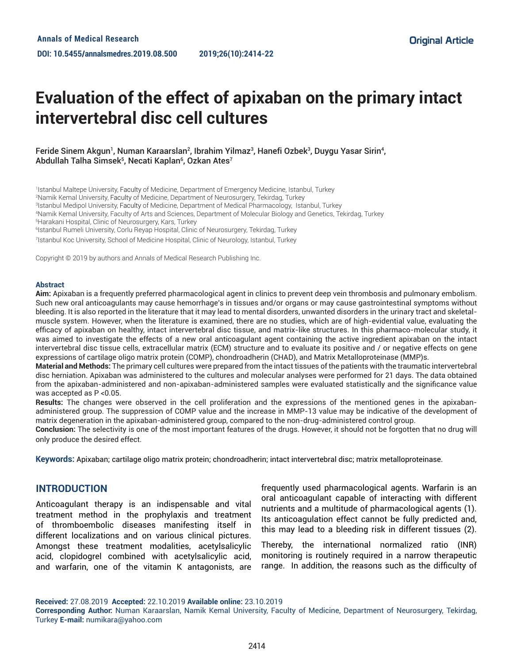# **Evaluation of the effect of apixaban on the primary intact intervertebral disc cell cultures**

## Feride Sinem Akgun<sup>1</sup>, Numan Karaarslan<sup>2</sup>, Ibrahim Yilmaz<sup>3</sup>, Hanefi Ozbek<sup>3</sup>, Duygu Yasar Sirin<sup>4</sup>, Abdullah Talha Simsek5, Necati Kaplan6, Ozkan Ates<sup>7</sup>

1 Istanbul Maltepe University, Faculty of Medicine, Department of Emergency Medicine, Istanbul, Turkey

2 Namik Kemal University, Faculty of Medicine, Department of Neurosurgery, Tekirdag, Turkey

3 Istanbul Medipol University, Faculty of Medicine, Department of Medical Pharmacology, Istanbul, Turkey

4 Namik Kemal University, Faculty of Arts and Sciences, Department of Molecular Biology and Genetics, Tekirdag, Turkey

5 Harakani Hospital, Clinic of Neurosurgery, Kars, Turkey

6 Istanbul Rumeli University, Corlu Reyap Hospital, Clinic of Neurosurgery, Tekirdag, Turkey

7 Istanbul Koc University, School of Medicine Hospital, Clinic of Neurology, Istanbul, Turkey

Copyright © 2019 by authors and Annals of Medical Research Publishing Inc.

#### **Abstract**

**Aim:** Apixaban is a frequently preferred pharmacological agent in clinics to prevent deep vein thrombosis and pulmonary embolism. Such new oral anticoagulants may cause hemorrhage's in tissues and/or organs or may cause gastrointestinal symptoms without bleeding. It is also reported in the literature that it may lead to mental disorders, unwanted disorders in the urinary tract and skeletalmuscle system. However, when the literature is examined, there are no studies, which are of high-evidential value, evaluating the efficacy of apixaban on healthy, intact intervertebral disc tissue, and matrix-like structures. In this pharmaco-molecular study, it was aimed to investigate the effects of a new oral anticoagulant agent containing the active ingredient apixaban on the intact intervertebral disc tissue cells, extracellular matrix (ECM) structure and to evaluate its positive and / or negative effects on gene expressions of cartilage oligo matrix protein (COMP), chondroadherin (CHAD), and Matrix Metalloproteinase (MMP)s.

**Material and Methods:** The primary cell cultures were prepared from the intact tissues of the patients with the traumatic intervertebral disc herniation. Apixaban was administered to the cultures and molecular analyses were performed for 21 days. The data obtained from the apixaban-administered and non-apixaban-administered samples were evaluated statistically and the significance value was accepted as P <0.05.

**Results:** The changes were observed in the cell proliferation and the expressions of the mentioned genes in the apixabanadministered group. The suppression of COMP value and the increase in MMP-13 value may be indicative of the development of matrix degeneration in the apixaban-administered group, compared to the non-drug-administered control group.

**Conclusion:** The selectivity is one of the most important features of the drugs. However, it should not be forgotten that no drug will only produce the desired effect.

**Keywords:** Apixaban; cartilage oligo matrix protein; chondroadherin; intact intervertebral disc; matrix metalloproteinase.

# **INTRODUCTION**

Anticoagulant therapy is an indispensable and vital treatment method in the prophylaxis and treatment of thromboembolic diseases manifesting itself in different localizations and on various clinical pictures. Amongst these treatment modalities, acetylsalicylic acid, clopidogrel combined with acetylsalicylic acid, and warfarin, one of the vitamin K antagonists, are

frequently used pharmacological agents. Warfarin is an oral anticoagulant capable of interacting with different nutrients and a multitude of pharmacological agents (1). Its anticoagulation effect cannot be fully predicted and, this may lead to a bleeding risk in different tissues (2).

Thereby, the international normalized ratio (INR) monitoring is routinely required in a narrow therapeutic range. In addition, the reasons such as the difficulty of

**Received:** 27.08.2019 **Accepted:** 22.10.2019 **Available online:** 23.10.2019

**Corresponding Author:** Numan Karaarslan, Namik Kemal University, Faculty of Medicine, Department of Neurosurgery, Tekirdag, Turkey **E-mail:** numikara@yahoo.com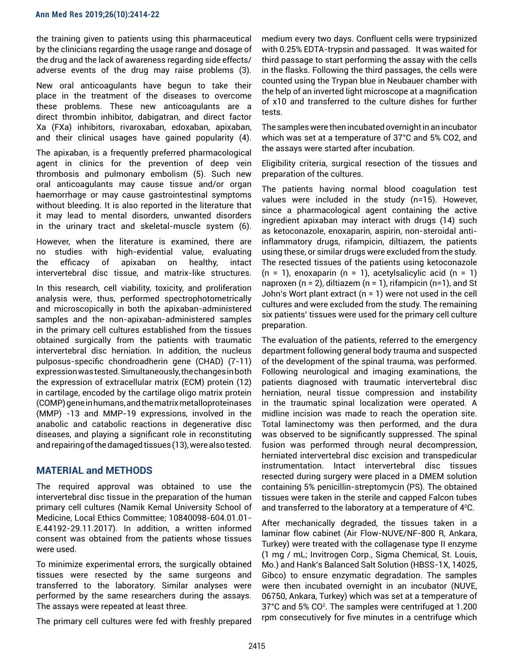the training given to patients using this pharmaceutical by the clinicians regarding the usage range and dosage of the drug and the lack of awareness regarding side effects/ adverse events of the drug may raise problems (3).

New oral anticoagulants have begun to take their place in the treatment of the diseases to overcome these problems. These new anticoagulants are a direct thrombin inhibitor, dabigatran, and direct factor Xa (FXa) inhibitors, rivaroxaban, edoxaban, apixaban, and their clinical usages have gained popularity (4).

The apixaban, is a frequently preferred pharmacological agent in clinics for the prevention of deep vein thrombosis and pulmonary embolism (5). Such new oral anticoagulants may cause tissue and/or organ haemorrhage or may cause gastrointestinal symptoms without bleeding. It is also reported in the literature that it may lead to mental disorders, unwanted disorders in the urinary tract and skeletal-muscle system (6).

However, when the literature is examined, there are no studies with high-evidential value, evaluating the efficacy of apixaban on healthy, intact intervertebral disc tissue, and matrix-like structures.

In this research, cell viability, toxicity, and proliferation analysis were, thus, performed spectrophotometrically and microscopically in both the apixaban-administered samples and the non-apixaban-administered samples in the primary cell cultures established from the tissues obtained surgically from the patients with traumatic intervertebral disc herniation. In addition, the nucleus pulposus-specific chondroadherin gene (CHAD) (7-11) expression was tested. Simultaneously, the changes in both the expression of extracellular matrix (ECM) protein (12) in cartilage, encoded by the cartilage oligo matrix protein (COMP) gene in humans, and the matrix metalloproteinases (MMP) -13 and MMP-19 expressions, involved in the anabolic and catabolic reactions in degenerative disc diseases, and playing a significant role in reconstituting and repairing of the damaged tissues (13), were also tested.

# **MATERIAL and METHODS**

The required approval was obtained to use the intervertebral disc tissue in the preparation of the human primary cell cultures (Namik Kemal University School of Medicine, Local Ethics Committee; 10840098-604.01.01- E.44192-29.11.2017). In addition, a written informed consent was obtained from the patients whose tissues were used.

To minimize experimental errors, the surgically obtained tissues were resected by the same surgeons and transferred to the laboratory. Similar analyses were performed by the same researchers during the assays. The assays were repeated at least three.

The primary cell cultures were fed with freshly prepared

medium every two days. Confluent cells were trypsinized with 0.25% EDTA-trypsin and passaged. It was waited for third passage to start performing the assay with the cells in the flasks. Following the third passages, the cells were counted using the Trypan blue in Neubauer chamber with the help of an inverted light microscope at a magnification of x10 and transferred to the culture dishes for further tests.

The samples were then incubated overnight in an incubator which was set at a temperature of 37°C and 5% CO2, and the assays were started after incubation.

Eligibility criteria, surgical resection of the tissues and preparation of the cultures.

The patients having normal blood coagulation test values were included in the study (n=15). However, since a pharmacological agent containing the active ingredient apixaban may interact with drugs (14) such as ketoconazole, enoxaparin, aspirin, non-steroidal antiinflammatory drugs, rifampicin, diltiazem, the patients using these, or similar drugs were excluded from the study. The resected tissues of the patients using ketoconazole  $(n = 1)$ , enoxaparin  $(n = 1)$ , acetylsalicylic acid  $(n = 1)$ naproxen ( $n = 2$ ), diltiazem ( $n = 1$ ), rifampicin ( $n = 1$ ), and St John's Wort plant extract (n = 1) were not used in the cell cultures and were excluded from the study. The remaining six patients' tissues were used for the primary cell culture preparation.

The evaluation of the patients, referred to the emergency department following general body trauma and suspected of the development of the spinal trauma, was performed. Following neurological and imaging examinations, the patients diagnosed with traumatic intervertebral disc herniation, neural tissue compression and instability in the traumatic spinal localization were operated. A midline incision was made to reach the operation site. Total laminectomy was then performed, and the dura was observed to be significantly suppressed. The spinal fusion was performed through neural decompression, herniated intervertebral disc excision and transpedicular instrumentation. Intact intervertebral disc tissues resected during surgery were placed in a DMEM solution containing 5% penicillin-streptomycin (PS). The obtained tissues were taken in the sterile and capped Falcon tubes and transferred to the laboratory at a temperature of 4°C.

After mechanically degraded, the tissues taken in a laminar flow cabinet (Air Flow-NUVE/NF-800 R, Ankara, Turkey) were treated with the collagenase type II enzyme (1 mg / mL; Invitrogen Corp., Sigma Chemical, St. Louis, Mo.) and Hank's Balanced Salt Solution (HBSS-1X, 14025, Gibco) to ensure enzymatic degradation. The samples were then incubated overnight in an incubator (NUVE, 06750, Ankara, Turkey) which was set at a temperature of 37°C and 5% CO2 . The samples were centrifuged at 1.200 rpm consecutively for five minutes in a centrifuge which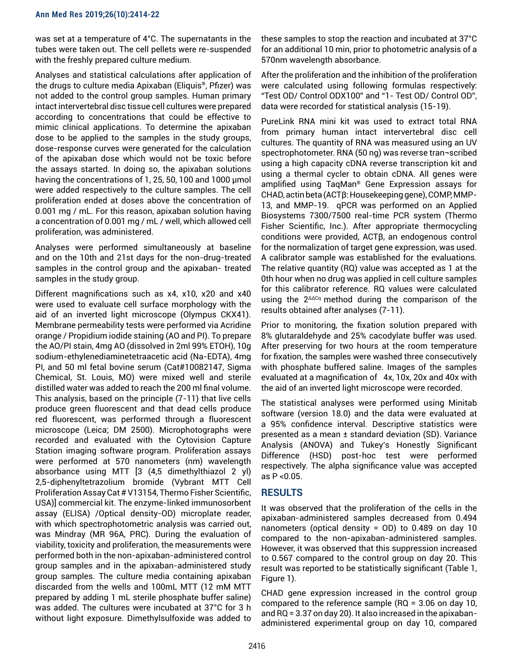was set at a temperature of 4°C. The supernatants in the tubes were taken out. The cell pellets were re-suspended with the freshly prepared culture medium.

Analyses and statistical calculations after application of the drugs to culture media Apixaban (Eliquis®, Pfizer) was not added to the control group samples. Human primary intact intervertebral disc tissue cell cultures were prepared according to concentrations that could be effective to mimic clinical applications. To determine the apixaban dose to be applied to the samples in the study groups, dose-response curves were generated for the calculation of the apixaban dose which would not be toxic before the assays started. In doing so, the apixaban solutions having the concentrations of 1, 25, 50, 100 and 1000 μmol were added respectively to the culture samples. The cell proliferation ended at doses above the concentration of 0.001 mg / mL. For this reason, apixaban solution having a concentration of 0.001 mg / mL / well, which allowed cell proliferation, was administered.

Analyses were performed simultaneously at baseline and on the 10th and 21st days for the non-drug-treated samples in the control group and the apixaban- treated samples in the study group.

Different magnifications such as x4, x10, x20 and x40 were used to evaluate cell surface morphology with the aid of an inverted light microscope (Olympus CKX41). Membrane permeability tests were performed via Acridine orange / Propidium iodide staining (AO and PI). To prepare the AO/PI stain, 4mg AO (dissolved in 2ml 99% ETOH), 10g sodium-ethylenediaminetetraacetic acid (Na-EDTA), 4mg PI, and 50 ml fetal bovine serum (Cat#10082147, Sigma Chemical, St. Louis, MO) were mixed well and sterile distilled water was added to reach the 200 ml final volume. This analysis, based on the principle (7-11) that live cells produce green fluorescent and that dead cells produce red fluorescent, was performed through a fluorescent microscope (Leica; DM 2500). Microphotographs were recorded and evaluated with the Cytovision Capture Station imaging software program. Proliferation assays were performed at 570 nanometers (nm) wavelength absorbance using MTT [3 (4,5 dimethylthiazol 2 yl) 2,5-diphenyltetrazolium bromide (Vybrant MTT Cell Proliferation Assay Cat # V13154, Thermo Fisher Scientific, USA)] commercial kit. The enzyme-linked immunosorbent assay (ELISA) /Optical density-OD) microplate reader, with which spectrophotometric analysis was carried out, was Mindray (MR 96A, PRC). During the evaluation of viability, toxicity and proliferation, the measurements were performed both in the non-apixaban-administered control group samples and in the apixaban-administered study group samples. The culture media containing apixaban discarded from the wells and 100mL MTT (12 mM MTT prepared by adding 1 mL sterile phosphate buffer saline) was added. The cultures were incubated at 37°C for 3 h without light exposure. Dimethylsulfoxide was added to

these samples to stop the reaction and incubated at 37°C for an additional 10 min, prior to photometric analysis of a 570nm wavelength absorbance.

After the proliferation and the inhibition of the proliferation were calculated using following formulas respectively: "Test OD/ Control ODX100" and "1- Test OD/ Control OD", data were recorded for statistical analysis (15-19).

PureLink RNA mini kit was used to extract total RNA from primary human intact intervertebral disc cell cultures. The quantity of RNA was measured using an UV spectrophotometer. RNA (50 ng) was reverse tran¬scribed using a high capacity cDNA reverse transcription kit and using a thermal cycler to obtain cDNA. All genes were amplified using TaqMan® Gene Expression assays for CHAD, actin beta (ACTβ: Housekeeping gene), COMP, MMP-13, and MMP-19. qPCR was performed on an Applied Biosystems 7300/7500 real-time PCR system (Thermo Fisher Scientific, Inc.). After appropriate thermocycling conditions were provided, ACTβ, an endogenous control for the normalization of target gene expression, was used. A calibrator sample was established for the evaluations. The relative quantity (RQ) value was accepted as 1 at the 0th hour when no drug was applied in cell culture samples for this calibrator reference. RQ values were calculated using the 2<sup>ΔΔCq</sup> method during the comparison of the results obtained after analyses (7-11).

Prior to monitoring, the fixation solution prepared with 8% glutaraldehyde and 25% cacodylate buffer was used. After preserving for two hours at the room temperature for fixation, the samples were washed three consecutively with phosphate buffered saline. Images of the samples evaluated at a magnification of 4x, 10x, 20x and 40x with the aid of an inverted light microscope were recorded.

The statistical analyses were performed using Minitab software (version 18.0) and the data were evaluated at a 95% confidence interval. Descriptive statistics were presented as a mean ± standard deviation (SD). Variance Analysis (ANOVA) and Tukey's Honestly Significant Difference (HSD) post-hoc test were performed respectively. The alpha significance value was accepted as P <0.05.

# **RESULTS**

It was observed that the proliferation of the cells in the apixaban-administered samples decreased from 0.494 nanometers (optical density = OD) to 0.489 on day 10 compared to the non-apixaban-administered samples. However, it was observed that this suppression increased to 0.567 compared to the control group on day 20. This result was reported to be statistically significant (Table 1, Figure 1).

CHAD gene expression increased in the control group compared to the reference sample (RQ = 3.06 on day 10, and RQ = 3.37 on day 20). It also increased in the apixabanadministered experimental group on day 10, compared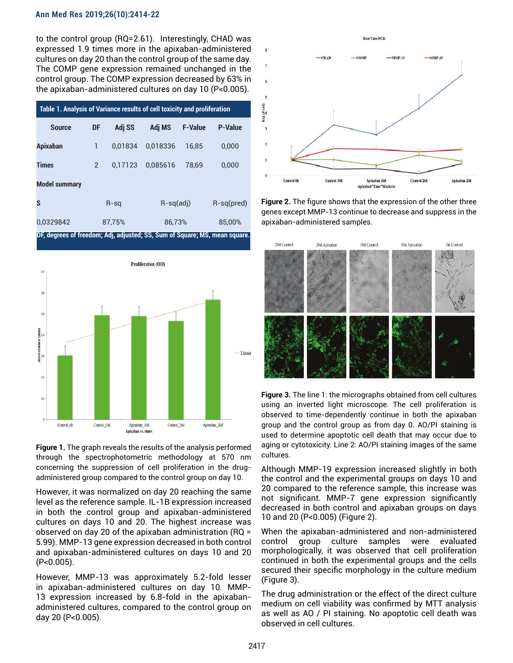#### **Ann Med Res 2019;26(10):2414-22**

to the control group (RQ=2.61). Interestingly, CHAD was expressed 1.9 times more in the apixaban-administered cultures on day 20 than the control group of the same day. The COMP gene expression remained unchanged in the control group. The COMP expression decreased by 63% in the apixaban-administered cultures on day 10 (P<0.005).

| Table 1. Analysis of Variance results of cell toxicity and proliferation   |                |         |             |                |                |
|----------------------------------------------------------------------------|----------------|---------|-------------|----------------|----------------|
| <b>Source</b>                                                              | DF             | Adj SS  | Adj MS      | <b>F-Value</b> | <b>P-Value</b> |
| <b>Apixaban</b>                                                            | 1              | 0.01834 | 0.018336    | 16.85          | 0.000          |
| <b>Times</b>                                                               | $\overline{2}$ | 0.17123 | 0.085616    | 78.69          | 0.000          |
| <b>Model summary</b>                                                       |                |         |             |                |                |
| S                                                                          | $R-sq$         |         | $R-sq(adi)$ |                | $R-sq(pred)$   |
| 0,0329842                                                                  | 87.75%         |         | 86.73%      |                | 85.00%         |
| DF, degrees of freedom; Adj, adjusted; SS, Sum of Square; MS, mean square. |                |         |             |                |                |



**Figure 1.** The graph reveals the results of the analysis performed through the spectrophotometric methodology at 570 nm concerning the suppression of cell proliferation in the drugadministered group compared to the control group on day 10.

However, it was normalized on day 20 reaching the same level as the reference sample. IL-1B expression increased in both the control group and apixaban-administered cultures on days 10 and 20. The highest increase was observed on day 20 of the apixaban administration (RQ = 5.99). MMP-13 gene expression decreased in both control and apixaban-administered cultures on days 10 and 20 (P<0.005).

However, MMP-13 was approximately 5.2-fold lesser in apixaban-administered cultures on day 10. MMP-13 expression increased by 6.8-fold in the apixabanadministered cultures, compared to the control group on day 20 (P<0.005).



**Figure 2.** The figure shows that the expression of the other three genes except MMP-13 continue to decrease and suppress in the apixaban-administered samples.



**Figure 3.** The line 1: the micrographs obtained from cell cultures using an inverted light microscope. The cell proliferation is observed to time-dependently continue in both the apixaban group and the control group as from day 0. AO/PI staining is used to determine apoptotic cell death that may occur due to aging or cytotoxicity. Line 2: AO/PI staining images of the same cultures.

Although MMP-19 expression increased slightly in both the control and the experimental groups on days 10 and 20 compared to the reference sample, this increase was not significant. MMP-7 gene expression significantly decreased in both control and apixaban groups on days 10 and 20 (P<0.005) (Figure 2).

When the apixaban-administered and non-administered control group culture samples were evaluated morphologically, it was observed that cell proliferation continued in both the experimental groups and the cells secured their specific morphology in the culture medium (Figure 3).

The drug administration or the effect of the direct culture medium on cell viability was confirmed by MTT analysis as well as AO / PI staining. No apoptotic cell death was observed in cell cultures.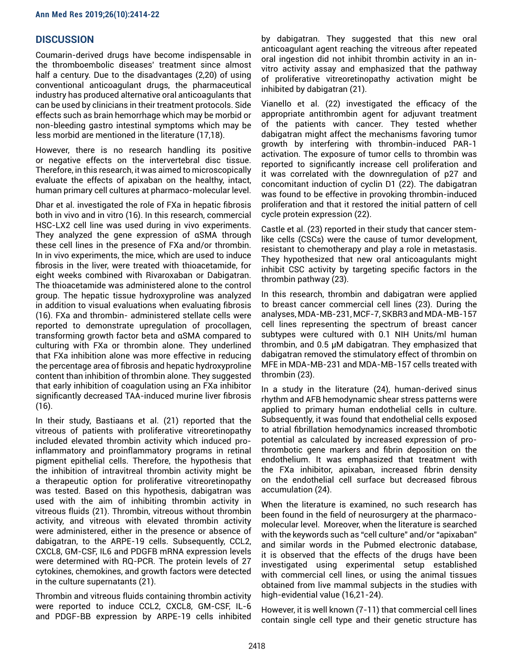# **DISCUSSION**

Coumarin-derived drugs have become indispensable in the thromboembolic diseases' treatment since almost half a century. Due to the disadvantages (2,20) of using conventional anticoagulant drugs, the pharmaceutical industry has produced alternative oral anticoagulants that can be used by clinicians in their treatment protocols. Side effects such as brain hemorrhage which may be morbid or non-bleeding gastro intestinal symptoms which may be less morbid are mentioned in the literature (17,18).

However, there is no research handling its positive or negative effects on the intervertebral disc tissue. Therefore, in this research, it was aimed to microscopically evaluate the effects of apixaban on the healthy, intact, human primary cell cultures at pharmaco-molecular level.

Dhar et al. investigated the role of FXa in hepatic fibrosis both in vivo and in vitro (16). In this research, commercial HSC-LX2 cell line was used during in vivo experiments. They analyzed the gene expression of αSMA through these cell lines in the presence of FXa and/or thrombin. In in vivo experiments, the mice, which are used to induce fibrosis in the liver, were treated with thioacetamide, for eight weeks combined with Rivaroxaban or Dabigatran. The thioacetamide was administered alone to the control group. The hepatic tissue hydroxyproline was analyzed in addition to visual evaluations when evaluating fibrosis (16). FXa and thrombin- administered stellate cells were reported to demonstrate upregulation of procollagen, transforming growth factor beta and αSMA compared to culturing with FXa or thrombin alone. They underlined that FXa inhibition alone was more effective in reducing the percentage area of fibrosis and hepatic hydroxyproline content than inhibition of thrombin alone. They suggested that early inhibition of coagulation using an FXa inhibitor significantly decreased TAA-induced murine liver fibrosis (16).

In their study, Bastiaans et al. (21) reported that the vitreous of patients with proliferative vitreoretinopathy included elevated thrombin activity which induced proinflammatory and proinflammatory programs in retinal pigment epithelial cells. Therefore, the hypothesis that the inhibition of intravitreal thrombin activity might be a therapeutic option for proliferative vitreoretinopathy was tested. Based on this hypothesis, dabigatran was used with the aim of inhibiting thrombin activity in vitreous fluids (21). Thrombin, vitreous without thrombin activity, and vitreous with elevated thrombin activity were administered, either in the presence or absence of dabigatran, to the ARPE-19 cells. Subsequently, CCL2, CXCL8, GM-CSF, IL6 and PDGFB mRNA expression levels were determined with RQ-PCR. The protein levels of 27 cytokines, chemokines, and growth factors were detected in the culture supernatants (21).

Thrombin and vitreous fluids containing thrombin activity were reported to induce CCL2, CXCL8, GM-CSF, IL-6 and PDGF-BB expression by ARPE-19 cells inhibited by dabigatran. They suggested that this new oral anticoagulant agent reaching the vitreous after repeated oral ingestion did not inhibit thrombin activity in an invitro activity assay and emphasized that the pathway of proliferative vitreoretinopathy activation might be inhibited by dabigatran (21).

Vianello et al. (22) investigated the efficacy of the appropriate antithrombin agent for adjuvant treatment of the patients with cancer. They tested whether dabigatran might affect the mechanisms favoring tumor growth by interfering with thrombin-induced PAR-1 activation. The exposure of tumor cells to thrombin was reported to significantly increase cell proliferation and it was correlated with the downregulation of p27 and concomitant induction of cyclin D1 (22). The dabigatran was found to be effective in provoking thrombin-induced proliferation and that it restored the initial pattern of cell cycle protein expression (22).

Castle et al. (23) reported in their study that cancer stemlike cells (CSCs) were the cause of tumor development, resistant to chemotherapy and play a role in metastasis. They hypothesized that new oral anticoagulants might inhibit CSC activity by targeting specific factors in the thrombin pathway (23).

In this research, thrombin and dabigatran were applied to breast cancer commercial cell lines (23). During the analyses, MDA-MB-231, MCF-7, SKBR3 and MDA-MB-157 cell lines representing the spectrum of breast cancer subtypes were cultured with 0.1 NIH Units/ml human thrombin, and 0.5 μM dabigatran. They emphasized that dabigatran removed the stimulatory effect of thrombin on MFE in MDA-MB-231 and MDA-MB-157 cells treated with thrombin (23).

In a study in the literature (24), human-derived sinus rhythm and AFB hemodynamic shear stress patterns were applied to primary human endothelial cells in culture. Subsequently, it was found that endothelial cells exposed to atrial fibrillation hemodynamics increased thrombotic potential as calculated by increased expression of prothrombotic gene markers and fibrin deposition on the endothelium. It was emphasized that treatment with the FXa inhibitor, apixaban, increased fibrin density on the endothelial cell surface but decreased fibrous accumulation (24).

When the literature is examined, no such research has been found in the field of neurosurgery at the pharmacomolecular level. Moreover, when the literature is searched with the keywords such as "cell culture" and/or "apixaban" and similar words in the Pubmed electronic database, it is observed that the effects of the drugs have been investigated using experimental setup established with commercial cell lines, or using the animal tissues obtained from live mammal subjects in the studies with high-evidential value (16,21-24).

However, it is well known (7-11) that commercial cell lines contain single cell type and their genetic structure has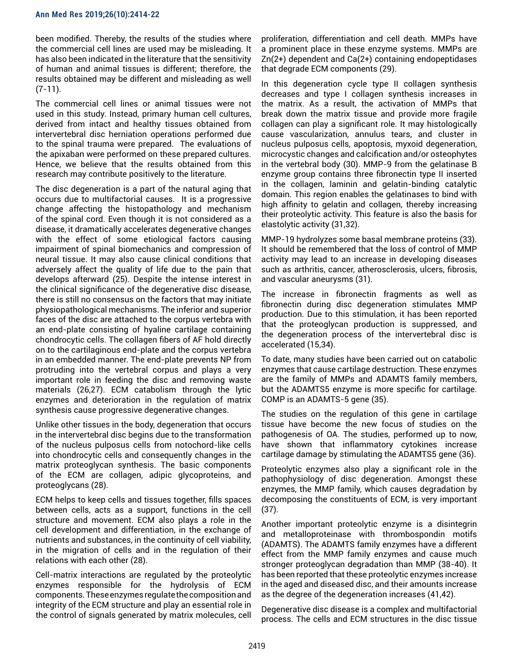been modified. Thereby, the results of the studies where the commercial cell lines are used may be misleading. It has also been indicated in the literature that the sensitivity of human and animal tissues is different; therefore, the results obtained may be different and misleading as well (7-11).

The commercial cell lines or animal tissues were not used in this study. Instead, primary human cell cultures, derived from intact and healthy tissues obtained from intervertebral disc herniation operations performed due to the spinal trauma were prepared. The evaluations of the apixaban were performed on these prepared cultures. Hence, we believe that the results obtained from this research may contribute positively to the literature.

The disc degeneration is a part of the natural aging that occurs due to multifactorial causes. It is a progressive change affecting the histopathology and mechanism of the spinal cord. Even though it is not considered as a disease, it dramatically accelerates degenerative changes with the effect of some etiological factors causing impairment of spinal biomechanics and compression of neural tissue. It may also cause clinical conditions that adversely affect the quality of life due to the pain that develops afterward (25). Despite the intense interest in the clinical significance of the degenerative disc disease, there is still no consensus on the factors that may initiate physiopathological mechanisms. The inferior and superior faces of the disc are attached to the corpus vertebra with an end-plate consisting of hyaline cartilage containing chondrocytic cells. The collagen fibers of AF hold directly on to the cartilaginous end-plate and the corpus vertebra in an embedded manner. The end-plate prevents NP from protruding into the vertebral corpus and plays a very important role in feeding the disc and removing waste materials (26,27). ECM catabolism through the lytic enzymes and deterioration in the regulation of matrix synthesis cause progressive degenerative changes.

Unlike other tissues in the body, degeneration that occurs in the intervertebral disc begins due to the transformation of the nucleus pulposus cells from notochord-like cells into chondrocytic cells and consequently changes in the matrix proteoglycan synthesis. The basic components of the ECM are collagen, adipic glycoproteins, and proteoglycans (28).

ECM helps to keep cells and tissues together, fills spaces between cells, acts as a support, functions in the cell structure and movement. ECM also plays a role in the cell development and differentiation, in the exchange of nutrients and substances, in the continuity of cell viability, in the migration of cells and in the regulation of their relations with each other (28).

Cell-matrix interactions are regulated by the proteolytic enzymes responsible for the hydrolysis of ECM components. These enzymes regulate the composition and integrity of the ECM structure and play an essential role in the control of signals generated by matrix molecules, cell

proliferation, differentiation and cell death. MMPs have a prominent place in these enzyme systems. MMPs are Zn(2+) dependent and Ca(2+) containing endopeptidases that degrade ECM components (29).

In this degeneration cycle type II collagen synthesis decreases and type I collagen synthesis increases in the matrix. As a result, the activation of MMPs that break down the matrix tissue and provide more fragile collagen can play a significant role. It may histologically cause vascularization, annulus tears, and cluster in nucleus pulposus cells, apoptosis, myxoid degeneration, microcystic changes and calcification and/or osteophytes in the vertebral body (30). MMP-9 from the gelatinase B enzyme group contains three fibronectin type II inserted in the collagen, laminin and gelatin-binding catalytic domain. This region enables the gelatinases to bind with high affinity to gelatin and collagen, thereby increasing their proteolytic activity. This feature is also the basis for elastolytic activity (31,32).

MMP-19 hydrolyzes some basal membrane proteins (33). It should be remembered that the loss of control of MMP activity may lead to an increase in developing diseases such as arthritis, cancer, atherosclerosis, ulcers, fibrosis, and vascular aneurysms (31).

The increase in fibronectin fragments as well as fibronectin during disc degeneration stimulates MMP production. Due to this stimulation, it has been reported that the proteoglycan production is suppressed, and the degeneration process of the intervertebral disc is accelerated (15,34).

To date, many studies have been carried out on catabolic enzymes that cause cartilage destruction. These enzymes are the family of MMPs and ADAMTS family members, but the ADAMTS5 enzyme is more specific for cartilage. COMP is an ADAMTS-5 gene (35).

The studies on the regulation of this gene in cartilage tissue have become the new focus of studies on the pathogenesis of OA. The studies, performed up to now, have shown that inflammatory cytokines increase cartilage damage by stimulating the ADAMTS5 gene (36).

Proteolytic enzymes also play a significant role in the pathophysiology of disc degeneration. Amongst these enzymes, the MMP family, which causes degradation by decomposing the constituents of ECM, is very important (37).

Another important proteolytic enzyme is a disintegrin and metalloproteinase with thrombospondin motifs (ADAMTS). The ADAMTS family enzymes have a different effect from the MMP family enzymes and cause much stronger proteoglycan degradation than MMP (38-40). It has been reported that these proteolytic enzymes increase in the aged and diseased disc, and their amounts increase as the degree of the degeneration increases (41,42).

Degenerative disc disease is a complex and multifactorial process. The cells and ECM structures in the disc tissue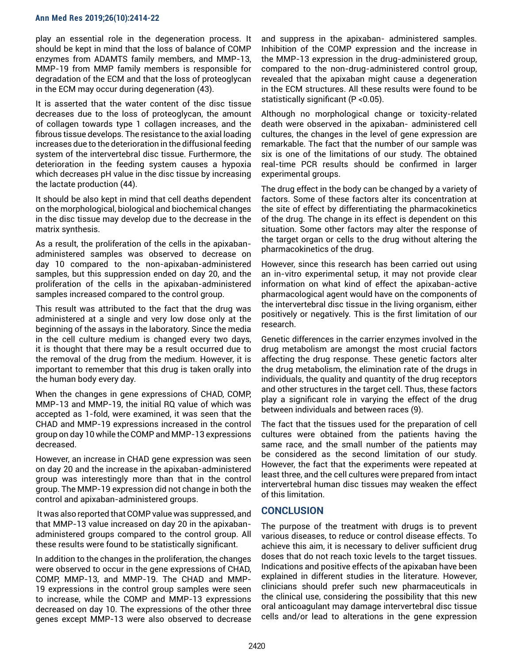#### **Ann Med Res 2019;26(10):2414-22**

play an essential role in the degeneration process. It should be kept in mind that the loss of balance of COMP enzymes from ADAMTS family members, and MMP-13, MMP-19 from MMP family members is responsible for degradation of the ECM and that the loss of proteoglycan in the ECM may occur during degeneration (43).

It is asserted that the water content of the disc tissue decreases due to the loss of proteoglycan, the amount of collagen towards type 1 collagen increases, and the fibrous tissue develops. The resistance to the axial loading increases due to the deterioration in the diffusional feeding system of the intervertebral disc tissue. Furthermore, the deterioration in the feeding system causes a hypoxia which decreases pH value in the disc tissue by increasing the lactate production (44).

It should be also kept in mind that cell deaths dependent on the morphological, biological and biochemical changes in the disc tissue may develop due to the decrease in the matrix synthesis.

As a result, the proliferation of the cells in the apixabanadministered samples was observed to decrease on day 10 compared to the non-apixaban-administered samples, but this suppression ended on day 20, and the proliferation of the cells in the apixaban-administered samples increased compared to the control group.

This result was attributed to the fact that the drug was administered at a single and very low dose only at the beginning of the assays in the laboratory. Since the media in the cell culture medium is changed every two days, it is thought that there may be a result occurred due to the removal of the drug from the medium. However, it is important to remember that this drug is taken orally into the human body every day.

When the changes in gene expressions of CHAD, COMP, MMP-13 and MMP-19, the initial RQ value of which was accepted as 1-fold, were examined, it was seen that the CHAD and MMP-19 expressions increased in the control group on day 10 while the COMP and MMP-13 expressions decreased.

However, an increase in CHAD gene expression was seen on day 20 and the increase in the apixaban-administered group was interestingly more than that in the control group. The MMP-19 expression did not change in both the control and apixaban-administered groups.

 It was also reported that COMP value was suppressed, and that MMP-13 value increased on day 20 in the apixabanadministered groups compared to the control group. All these results were found to be statistically significant.

In addition to the changes in the proliferation, the changes were observed to occur in the gene expressions of CHAD, COMP, MMP-13, and MMP-19. The CHAD and MMP-19 expressions in the control group samples were seen to increase, while the COMP and MMP-13 expressions decreased on day 10. The expressions of the other three genes except MMP-13 were also observed to decrease and suppress in the apixaban- administered samples. Inhibition of the COMP expression and the increase in the MMP-13 expression in the drug-administered group, compared to the non-drug-administered control group, revealed that the apixaban might cause a degeneration in the ECM structures. All these results were found to be statistically significant (P <0.05).

Although no morphological change or toxicity-related death were observed in the apixaban- administered cell cultures, the changes in the level of gene expression are remarkable. The fact that the number of our sample was six is one of the limitations of our study. The obtained real-time PCR results should be confirmed in larger experimental groups.

The drug effect in the body can be changed by a variety of factors. Some of these factors alter its concentration at the site of effect by differentiating the pharmacokinetics of the drug. The change in its effect is dependent on this situation. Some other factors may alter the response of the target organ or cells to the drug without altering the pharmacokinetics of the drug.

However, since this research has been carried out using an in-vitro experimental setup, it may not provide clear information on what kind of effect the apixaban-active pharmacological agent would have on the components of the intervertebral disc tissue in the living organism, either positively or negatively. This is the first limitation of our research.

Genetic differences in the carrier enzymes involved in the drug metabolism are amongst the most crucial factors affecting the drug response. These genetic factors alter the drug metabolism, the elimination rate of the drugs in individuals, the quality and quantity of the drug receptors and other structures in the target cell. Thus, these factors play a significant role in varying the effect of the drug between individuals and between races (9).

The fact that the tissues used for the preparation of cell cultures were obtained from the patients having the same race, and the small number of the patients may be considered as the second limitation of our study. However, the fact that the experiments were repeated at least three, and the cell cultures were prepared from intact intervertebral human disc tissues may weaken the effect of this limitation.

## **CONCLUSION**

The purpose of the treatment with drugs is to prevent various diseases, to reduce or control disease effects. To achieve this aim, it is necessary to deliver sufficient drug doses that do not reach toxic levels to the target tissues. Indications and positive effects of the apixaban have been explained in different studies in the literature. However, clinicians should prefer such new pharmaceuticals in the clinical use, considering the possibility that this new oral anticoagulant may damage intervertebral disc tissue cells and/or lead to alterations in the gene expression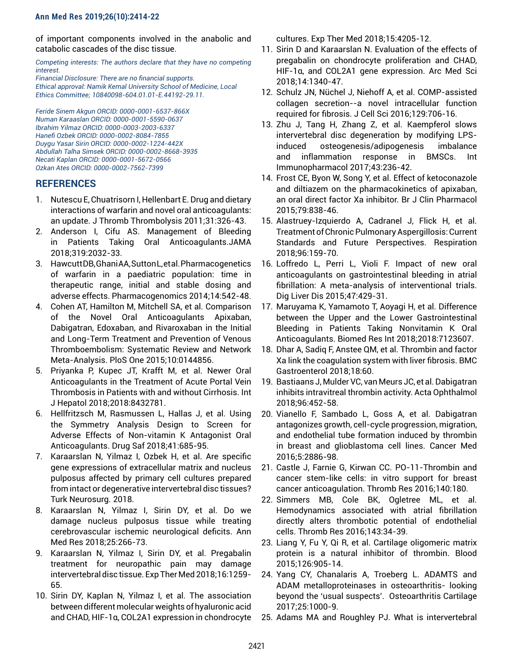## **Ann Med Res 2019;26(10):2414-22**

of important components involved in the anabolic and catabolic cascades of the disc tissue.

*Competing interests: The authors declare that they have no competing interest.* 

*Financial Disclosure: There are no financial supports. Ethical approval: Namik Kemal University School of Medicine, Local Ethics Committee; 10840098-604.01.01-E.44192-29.11.*

*Feride Sinem Akgun ORCID: 0000-0001-6537-866X Numan Karaaslan ORCID: 0000-0001-5590-0637 Ibrahim Yilmaz ORCID: 0000-0003-2003-6337 Hanefi Ozbek ORCID: 0000-0002-8084-7855 Duygu Yasar Sirin ORCID: 0000-0002-1224-442X Abdullah Talha Simsek ORCID: 0000-0002-8668-3935 Necati Kaplan ORCID: 0000-0001-5672-0566 Ozkan Ates ORCID: 0000-0002-7562-7399*

# **REFERENCES**

- 1. Nutescu E, Chuatrisorn I, Hellenbart E. Drug and dietary interactions of warfarin and novel oral anticoagulants: an update. J Thromb Thrombolysis 2011;31:326-43.
- 2. Anderson I, Cifu AS. Management of Bleeding in Patients Taking Oral Anticoagulants.JAMA 2018;319:2032-33.
- 3. Hawcutt DB, Ghani AA, Sutton L, et al. Pharmacogenetics of warfarin in a paediatric population: time in therapeutic range, initial and stable dosing and adverse effects. Pharmacogenomics 2014;14:542-48.
- 4. Cohen AT, Hamilton M, Mitchell SA, et al. Comparison of the Novel Oral Anticoagulants Apixaban, Dabigatran, Edoxaban, and Rivaroxaban in the Initial and Long-Term Treatment and Prevention of Venous Thromboembolism: Systematic Review and Network Meta-Analysis. PloS One 2015;10:0144856.
- 5. Priyanka P, Kupec JT, Krafft M, et al. Newer Oral Anticoagulants in the Treatment of Acute Portal Vein Thrombosis in Patients with and without Cirrhosis. Int J Hepatol 2018;2018:8432781.
- 6. Hellfritzsch M, Rasmussen L, Hallas J, et al. Using the Symmetry Analysis Design to Screen for Adverse Effects of Non-vitamin K Antagonist Oral Anticoagulants. Drug Saf 2018;41:685-95.
- 7. Karaarslan N, Yilmaz I, Ozbek H, et al. Are specific gene expressions of extracellular matrix and nucleus pulposus affected by primary cell cultures prepared from intact or degenerative intervertebral disc tissues? Turk Neurosurg. 2018.
- 8. Karaarslan N, Yilmaz I, Sirin DY, et al. Do we damage nucleus pulposus tissue while treating cerebrovascular ischemic neurological deficits. Ann Med Res 2018;25:266-73.
- 9. Karaarslan N, Yilmaz I, Sirin DY, et al. Pregabalin treatment for neuropathic pain may damage intervertebral disc tissue. Exp Ther Med 2018;16:1259- 65.
- 10. Sirin DY, Kaplan N, Yilmaz I, et al. The association between different molecular weights of hyaluronic acid and CHAD, HIF-1α, COL2A1 expression in chondrocyte

cultures. Exp Ther Med 2018;15:4205-12.

- 11. Sirin D and Karaarslan N. Evaluation of the effects of pregabalin on chondrocyte proliferation and CHAD, HIF-1α, and COL2A1 gene expression. Arc Med Sci 2018;14:1340-47.
- 12. Schulz JN, Nüchel J, Niehoff A, et al. COMP-assisted collagen secretion--a novel intracellular function required for fibrosis. J Cell Sci 2016;129:706-16.
- 13. Zhu J, Tang H, Zhang Z, et al. Kaempferol slows intervertebral disc degeneration by modifying LPSinduced osteogenesis/adipogenesis imbalance and inflammation response in BMSCs. Int Immunopharmacol 2017;43:236-42.
- 14. Frost CE, Byon W, Song Y, et al. Effect of ketoconazole and diltiazem on the pharmacokinetics of apixaban, an oral direct factor Xa inhibitor. Br J Clin Pharmacol 2015;79:838-46.
- 15. Alastruey-Izquierdo A, Cadranel J, Flick H, et al. Treatment of Chronic Pulmonary Aspergillosis: Current Standards and Future Perspectives. Respiration 2018;96:159-70.
- 16. Loffredo L, Perri L, Violi F. Impact of new oral anticoagulants on gastrointestinal bleeding in atrial fibrillation: A meta-analysis of interventional trials. Dig Liver Dis 2015;47:429-31.
- 17. Maruyama K, Yamamoto T, Aoyagi H, et al. Difference between the Upper and the Lower Gastrointestinal Bleeding in Patients Taking Nonvitamin K Oral Anticoagulants. Biomed Res Int 2018;2018:7123607.
- 18. Dhar A, Sadiq F, Anstee QM, et al. Thrombin and factor Xa link the coagulation system with liver fibrosis. BMC Gastroenterol 2018;18:60.
- 19. Bastiaans J, Mulder VC, van Meurs JC, et al. Dabigatran inhibits intravitreal thrombin activity. Acta Ophthalmol 2018;96:452-58.
- 20. Vianello F, Sambado L, Goss A, et al. Dabigatran antagonizes growth, cell-cycle progression, migration, and endothelial tube formation induced by thrombin in breast and glioblastoma cell lines. Cancer Med 2016;5:2886-98.
- 21. Castle J, Farnie G, Kirwan CC. PO-11-Thrombin and cancer stem-like cells: in vitro support for breast cancer anticoagulation. Thromb Res 2016;140:180.
- 22. Simmers MB, Cole BK, Ogletree ML, et al. Hemodynamics associated with atrial fibrillation directly alters thrombotic potential of endothelial cells. Thromb Res 2016;143:34-39.
- 23. Liang Y, Fu Y, Qi R, et al. Cartilage oligomeric matrix protein is a natural inhibitor of thrombin. Blood 2015;126:905-14.
- 24. Yang CY, Chanalaris A, Troeberg L. ADAMTS and ADAM metalloproteinases in osteoarthritis- looking beyond the 'usual suspects'. Osteoarthritis Cartilage 2017;25:1000-9.
- 25. Adams MA and Roughley PJ. What is intervertebral